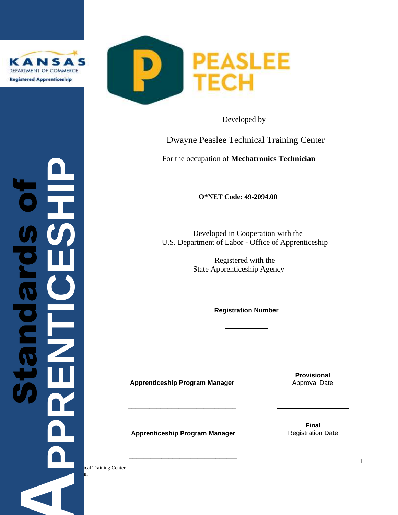

 $\boldsymbol{\vartheta}$ 

**bi**<br>9<br>0



Developed by

Dwayne Peaslee Technical Training Center

For the occupation of **Mechatronics Technician**

**O\*NET Code: 49-2094.00** 

 Developed in Cooperation with the U.S. Department of Labor - Office of Apprenticeship

> Registered with the State Apprenticeship Agency

> > **Registration Number**

**\_\_\_\_\_\_\_\_\_\_\_\_**

**Apprenticeship Program Manager**

**\_\_\_\_\_\_\_\_\_\_\_\_\_\_\_\_\_\_\_\_\_\_\_\_\_\_\_\_\_\_**

**Provisional**  Approval Date

**Apprenticeship Program Manager**

**\_\_\_\_\_\_\_\_\_\_\_\_\_\_\_\_\_\_\_\_\_\_\_\_\_\_\_\_\_\_**

**Final** Registration Date

**\_\_\_\_\_\_\_\_\_\_\_\_\_\_\_\_\_\_\_\_\_\_\_**

**o** obtained the contract of the contract of the contract of the contract of the contract of the contract of the contract of the contract of the contract of the contract of the contract of the contract of the contract of t

ical Training Center Mechanics Technician **APPRENTICESHIP** Standard

August 2, 2019

1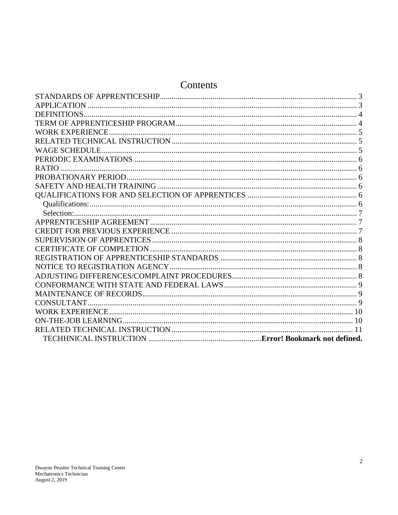# Contents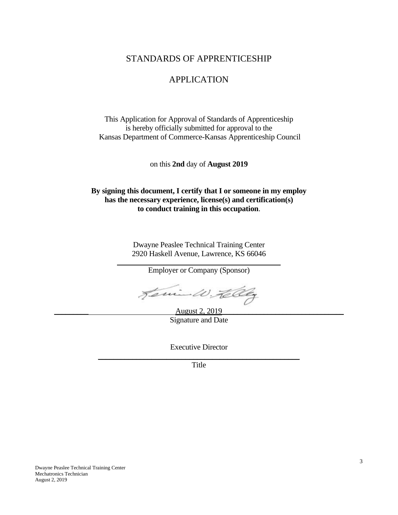# STANDARDS OF APPRENTICESHIP

# APPLICATION

<span id="page-2-1"></span><span id="page-2-0"></span>This Application for Approval of Standards of Apprenticeship is hereby officially submitted for approval to the Kansas Department of Commerce-Kansas Apprenticeship Council

on this **2nd** day of **August 2019**

**By signing this document, I certify that I or someone in my employ has the necessary experience, license(s) and certification(s) to conduct training in this occupation**.

> Dwayne Peaslee Technical Training Center 2920 Haskell Avenue, Lawrence, KS 66046

> > Employer or Company (Sponsor)

Jemin W. Helley

August 2, 2019 Signature and Date

Executive Director \_\_\_\_\_\_\_\_\_\_\_\_\_\_\_\_\_\_\_\_\_\_\_\_\_\_\_\_\_\_\_\_\_\_\_\_\_\_\_\_\_\_\_\_\_\_\_\_\_\_\_\_\_

Title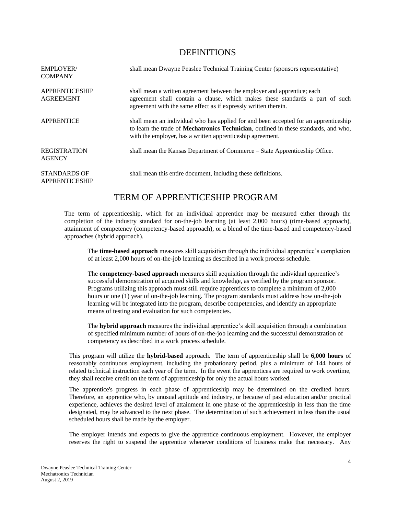#### <span id="page-3-0"></span>DEFINITIONS

| <b>EMPLOYER/</b><br><b>COMPANY</b>           | shall mean Dwayne Peaslee Technical Training Center (sponsors representative)                                                                                                                                                               |
|----------------------------------------------|---------------------------------------------------------------------------------------------------------------------------------------------------------------------------------------------------------------------------------------------|
| <b>APPRENTICESHIP</b><br><b>AGREEMENT</b>    | shall mean a written agreement between the employer and apprentice; each<br>agreement shall contain a clause, which makes these standards a part of such<br>agreement with the same effect as if expressly written therein.                 |
| <b>APPRENTICE</b>                            | shall mean an individual who has applied for and been accepted for an apprenticeship<br>to learn the trade of Mechatronics Technician, outlined in these standards, and who,<br>with the employer, has a written apprentice ship agreement. |
| <b>REGISTRATION</b><br><b>AGENCY</b>         | shall mean the Kansas Department of Commerce – State Apprenticeship Office.                                                                                                                                                                 |
| <b>STANDARDS OF</b><br><b>APPRENTICESHIP</b> | shall mean this entire document, including these definitions.                                                                                                                                                                               |

# TERM OF APPRENTICESHIP PROGRAM

<span id="page-3-1"></span>The term of apprenticeship, which for an individual apprentice may be measured either through the completion of the industry standard for on-the-job learning (at least 2,000 hours) (time-based approach), attainment of competency (competency-based approach), or a blend of the time-based and competency-based approaches (hybrid approach).

The **time-based approach** measures skill acquisition through the individual apprentice's completion of at least 2,000 hours of on-the-job learning as described in a work process schedule.

The **competency-based approach** measures skill acquisition through the individual apprentice's successful demonstration of acquired skills and knowledge, as verified by the program sponsor. Programs utilizing this approach must still require apprentices to complete a minimum of 2,000 hours or one (1) year of on-the-job learning. The program standards must address how on-the-job learning will be integrated into the program, describe competencies, and identify an appropriate means of testing and evaluation for such competencies.

The **hybrid approach** measures the individual apprentice's skill acquisition through a combination of specified minimum number of hours of on-the-job learning and the successful demonstration of competency as described in a work process schedule.

This program will utilize the **hybrid-based** approach. The term of apprenticeship shall be **6,000 hours** of reasonably continuous employment, including the probationary period, plus a minimum of 144 hours of related technical instruction each year of the term. In the event the apprentices are required to work overtime, they shall receive credit on the term of apprenticeship for only the actual hours worked.

The apprentice's progress in each phase of apprenticeship may be determined on the credited hours. Therefore, an apprentice who, by unusual aptitude and industry, or because of past education and/or practical experience, achieves the desired level of attainment in one phase of the apprenticeship in less than the time designated, may be advanced to the next phase. The determination of such achievement in less than the usual scheduled hours shall be made by the employer.

The employer intends and expects to give the apprentice continuous employment. However, the employer reserves the right to suspend the apprentice whenever conditions of business make that necessary. Any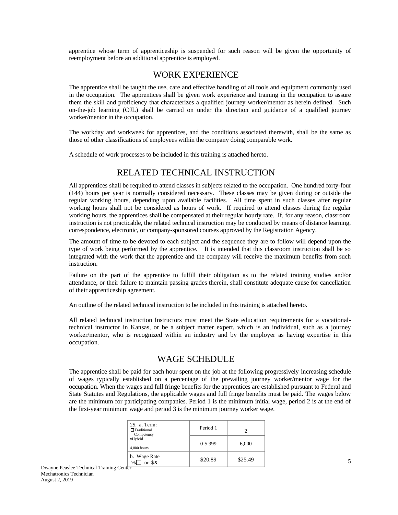apprentice whose term of apprenticeship is suspended for such reason will be given the opportunity of reemployment before an additional apprentice is employed.

### WORK EXPERIENCE

<span id="page-4-0"></span>The apprentice shall be taught the use, care and effective handling of all tools and equipment commonly used in the occupation. The apprentices shall be given work experience and training in the occupation to assure them the skill and proficiency that characterizes a qualified journey worker/mentor as herein defined. Such on-the-job learning (OJL) shall be carried on under the direction and guidance of a qualified journey worker/mentor in the occupation.

The workday and workweek for apprentices, and the conditions associated therewith, shall be the same as those of other classifications of employees within the company doing comparable work.

A schedule of work processes to be included in this training is attached hereto.

### RELATED TECHNICAL INSTRUCTION

<span id="page-4-1"></span>All apprentices shall be required to attend classes in subjects related to the occupation. One hundred forty-four (144) hours per year is normally considered necessary. These classes may be given during or outside the regular working hours, depending upon available facilities. All time spent in such classes after regular working hours shall not be considered as hours of work. If required to attend classes during the regular working hours, the apprentices shall be compensated at their regular hourly rate. If, for any reason, classroom instruction is not practicable, the related technical instruction may be conducted by means of distance learning, correspondence, electronic, or company-sponsored courses approved by the Registration Agency.

The amount of time to be devoted to each subject and the sequence they are to follow will depend upon the type of work being performed by the apprentice. It is intended that this classroom instruction shall be so integrated with the work that the apprentice and the company will receive the maximum benefits from such instruction.

Failure on the part of the apprentice to fulfill their obligation as to the related training studies and/or attendance, or their failure to maintain passing grades therein, shall constitute adequate cause for cancellation of their apprenticeship agreement.

An outline of the related technical instruction to be included in this training is attached hereto.

All related technical instruction Instructors must meet the State education requirements for a vocationaltechnical instructor in Kansas, or be a subject matter expert, which is an individual, such as a journey worker/mentor, who is recognized within an industry and by the employer as having expertise in this occupation.

#### WAGE SCHEDULE

<span id="page-4-2"></span>The apprentice shall be paid for each hour spent on the job at the following progressively increasing schedule of wages typically established on a percentage of the prevailing journey worker/mentor wage for the occupation. When the wages and full fringe benefits for the apprentices are established pursuant to Federal and State Statutes and Regulations, the applicable wages and full fringe benefits must be paid. The wages below are the minimum for participating companies. Period 1 is the minimum initial wage, period 2 is at the end of the first-year minimum wage and period 3 is the minimum journey worker wage.

| 25. a. Term:<br>$\Box$ Traditional<br>Competency | Period 1  |         |
|--------------------------------------------------|-----------|---------|
| xHybrid<br>$4,000$ hours                         | $0-5.999$ | 6,000   |
| b. Wage Rate<br>or \$X<br>$\%$                   | \$20.89   | \$25.49 |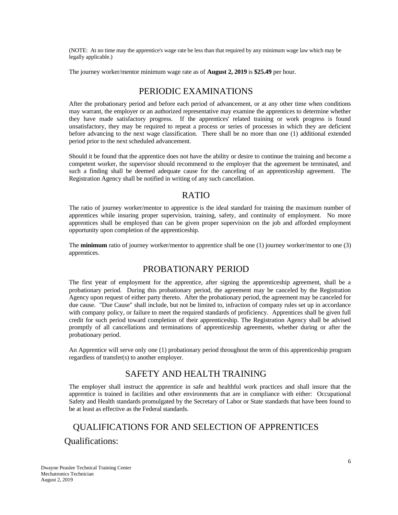(NOTE: At no time may the apprentice's wage rate be less than that required by any minimum wage law which may be legally applicable.)

The journey worker/mentor minimum wage rate as of **August 2, 2019** is **\$25.49** per hour.

### PERIODIC EXAMINATIONS

<span id="page-5-0"></span>After the probationary period and before each period of advancement, or at any other time when conditions may warrant, the employer or an authorized representative may examine the apprentices to determine whether they have made satisfactory progress. If the apprentices' related training or work progress is found unsatisfactory, they may be required to repeat a process or series of processes in which they are deficient before advancing to the next wage classification. There shall be no more than one (1) additional extended period prior to the next scheduled advancement.

Should it be found that the apprentice does not have the ability or desire to continue the training and become a competent worker, the supervisor should recommend to the employer that the agreement be terminated, and such a finding shall be deemed adequate cause for the canceling of an apprenticeship agreement. The Registration Agency shall be notified in writing of any such cancellation.

#### RATIO

<span id="page-5-1"></span>The ratio of journey worker/mentor to apprentice is the ideal standard for training the maximum number of apprentices while insuring proper supervision, training, safety, and continuity of employment. No more apprentices shall be employed than can be given proper supervision on the job and afforded employment opportunity upon completion of the apprenticeship.

The **minimum** ratio of journey worker/mentor to apprentice shall be one (1) journey worker/mentor to one (3) apprentices.

# PROBATIONARY PERIOD

<span id="page-5-2"></span>The first year of employment for the apprentice, after signing the apprenticeship agreement, shall be a probationary period. During this probationary period, the agreement may be canceled by the Registration Agency upon request of either party thereto. After the probationary period, the agreement may be canceled for due cause. "Due Cause" shall include, but not be limited to, infraction of company rules set up in accordance with company policy, or failure to meet the required standards of proficiency. Apprentices shall be given full credit for such period toward completion of their apprenticeship. The Registration Agency shall be advised promptly of all cancellations and terminations of apprenticeship agreements, whether during or after the probationary period.

An Apprentice will serve only one (1) probationary period throughout the term of this apprenticeship program regardless of transfer(s) to another employer.

# SAFETY AND HEALTH TRAINING

<span id="page-5-3"></span>The employer shall instruct the apprentice in safe and healthful work practices and shall insure that the apprentice is trained in facilities and other environments that are in compliance with either: Occupational Safety and Health standards promulgated by the Secretary of Labor or State standards that have been found to be at least as effective as the Federal standards.

# <span id="page-5-5"></span><span id="page-5-4"></span>QUALIFICATIONS FOR AND SELECTION OF APPRENTICES Qualifications: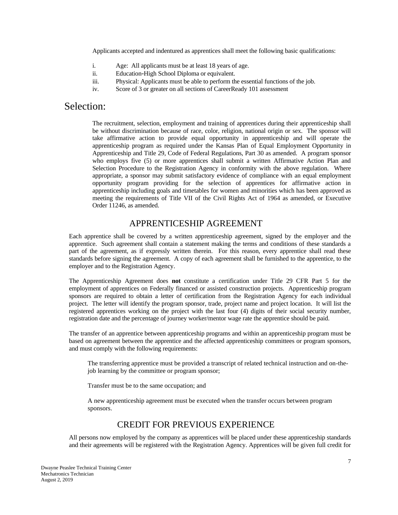Applicants accepted and indentured as apprentices shall meet the following basic qualifications:

- i. Age: All applicants must be at least 18 years of age.
- ii. Education-High School Diploma or equivalent.
- iii. Physical: Applicants must be able to perform the essential functions of the job.
- iv. Score of 3 or greater on all sections of CareerReady 101 assessment

# <span id="page-6-0"></span>Selection:

The recruitment, selection, employment and training of apprentices during their apprenticeship shall be without discrimination because of race, color, religion, national origin or sex. The sponsor will take affirmative action to provide equal opportunity in apprenticeship and will operate the apprenticeship program as required under the Kansas Plan of Equal Employment Opportunity in Apprenticeship and Title 29, Code of Federal Regulations, Part 30 as amended. A program sponsor who employs five (5) or more apprentices shall submit a written Affirmative Action Plan and Selection Procedure to the Registration Agency in conformity with the above regulation. Where appropriate, a sponsor may submit satisfactory evidence of compliance with an equal employment opportunity program providing for the selection of apprentices for affirmative action in apprenticeship including goals and timetables for women and minorities which has been approved as meeting the requirements of Title VII of the Civil Rights Act of 1964 as amended, or Executive Order 11246, as amended.

### APPRENTICESHIP AGREEMENT

<span id="page-6-1"></span>Each apprentice shall be covered by a written apprenticeship agreement, signed by the employer and the apprentice. Such agreement shall contain a statement making the terms and conditions of these standards a part of the agreement, as if expressly written therein. For this reason, every apprentice shall read these standards before signing the agreement. A copy of each agreement shall be furnished to the apprentice, to the employer and to the Registration Agency.

The Apprenticeship Agreement does **not** constitute a certification under Title 29 CFR Part 5 for the employment of apprentices on Federally financed or assisted construction projects. Apprenticeship program sponsors are required to obtain a letter of certification from the Registration Agency for each individual project. The letter will identify the program sponsor, trade, project name and project location. It will list the registered apprentices working on the project with the last four (4) digits of their social security number, registration date and the percentage of journey worker/mentor wage rate the apprentice should be paid.

The transfer of an apprentice between apprenticeship programs and within an apprenticeship program must be based on agreement between the apprentice and the affected apprenticeship committees or program sponsors, and must comply with the following requirements:

The transferring apprentice must be provided a transcript of related technical instruction and on-thejob learning by the committee or program sponsor;

Transfer must be to the same occupation; and

A new apprenticeship agreement must be executed when the transfer occurs between program sponsors.

#### CREDIT FOR PREVIOUS EXPERIENCE

<span id="page-6-2"></span>All persons now employed by the company as apprentices will be placed under these apprenticeship standards and their agreements will be registered with the Registration Agency. Apprentices will be given full credit for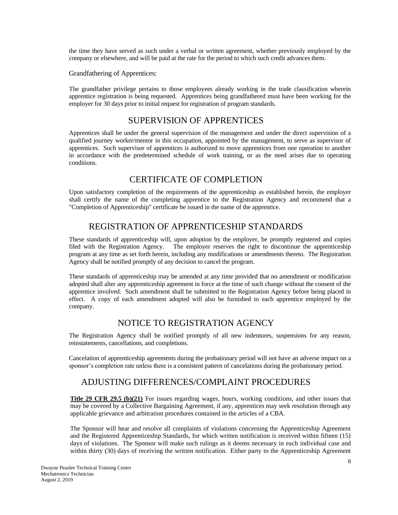the time they have served as such under a verbal or written agreement, whether previously employed by the company or elsewhere, and will be paid at the rate for the period to which such credit advances them.

Grandfathering of Apprentices:

The grandfather privilege pertains to those employees already working in the trade classification wherein apprentice registration is being requested. Apprentices being grandfathered must have been working for the employer for 30 days prior to initial request for registration of program standards.

### SUPERVISION OF APPRENTICES

<span id="page-7-0"></span>Apprentices shall be under the general supervision of the management and under the direct supervision of a qualified journey worker/mentor in this occupation, appointed by the management, to serve as supervisor of apprentices. Such supervisor of apprentices is authorized to move apprentices from one operation to another in accordance with the predetermined schedule of work training, or as the need arises due to operating conditions.

# CERTIFICATE OF COMPLETION

<span id="page-7-1"></span>Upon satisfactory completion of the requirements of the apprenticeship as established herein, the employer shall certify the name of the completing apprentice to the Registration Agency and recommend that a "Completion of Apprenticeship" certificate be issued in the name of the apprentice.

# REGISTRATION OF APPRENTICESHIP STANDARDS

<span id="page-7-2"></span>These standards of apprenticeship will, upon adoption by the employer, be promptly registered and copies filed with the Registration Agency. The employer reserves the right to discontinue the apprenticeship program at any time as set forth herein, including any modifications or amendments thereto. The Registration Agency shall be notified promptly of any decision to cancel the program.

These standards of apprenticeship may be amended at any time provided that no amendment or modification adopted shall alter any apprenticeship agreement in force at the time of such change without the consent of the apprentice involved. Such amendment shall be submitted to the Registration Agency before being placed in effect. A copy of each amendment adopted will also be furnished to each apprentice employed by the company.

# NOTICE TO REGISTRATION AGENCY

<span id="page-7-3"></span>The Registration Agency shall be notified promptly of all new indentures, suspensions for any reason, reinstatements, cancellations, and completions.

Cancelation of apprenticeship agreements during the probationary period will not have an adverse impact on a sponsor's completion rate unless there is a consistent pattern of cancelations during the probationary period.

# ADJUSTING DIFFERENCES/COMPLAINT PROCEDURES

<span id="page-7-4"></span>**Title 29 CFR 29.5 (b)(21)** For issues regarding wages, hours, working conditions, and other issues that may be covered by a Collective Bargaining Agreement, if any, apprentices may seek resolution through any applicable grievance and arbitration procedures contained in the articles of a CBA.

The Sponsor will hear and resolve all complaints of violations concerning the Apprenticeship Agreement and the Registered Apprenticeship Standards, for which written notification is received within fifteen (15) days of violations. The Sponsor will make such rulings as it deems necessary in each individual case and within thirty (30) days of receiving the written notification. Either party to the Apprenticeship Agreement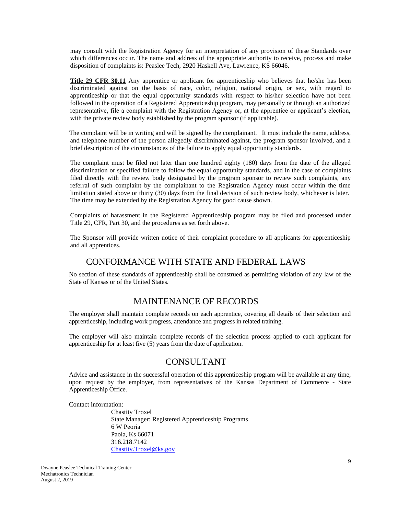may consult with the Registration Agency for an interpretation of any provision of these Standards over which differences occur. The name and address of the appropriate authority to receive, process and make disposition of complaints is: Peaslee Tech, 2920 Haskell Ave, Lawrence, KS 66046.

**Title 29 CFR 30.11** Any apprentice or applicant for apprenticeship who believes that he/she has been discriminated against on the basis of race, color, religion, national origin, or sex, with regard to apprenticeship or that the equal opportunity standards with respect to his/her selection have not been followed in the operation of a Registered Apprenticeship program, may personally or through an authorized representative, file a complaint with the Registration Agency or, at the apprentice or applicant's election, with the private review body established by the program sponsor (if applicable).

 The complaint will be in writing and will be signed by the complainant. It must include the name, address, and telephone number of the person allegedly discriminated against, the program sponsor involved, and a brief description of the circumstances of the failure to apply equal opportunity standards.

The complaint must be filed not later than one hundred eighty (180) days from the date of the alleged discrimination or specified failure to follow the equal opportunity standards, and in the case of complaints filed directly with the review body designated by the program sponsor to review such complaints, any referral of such complaint by the complainant to the Registration Agency must occur within the time limitation stated above or thirty (30) days from the final decision of such review body, whichever is later. The time may be extended by the Registration Agency for good cause shown.

Complaints of harassment in the Registered Apprenticeship program may be filed and processed under Title 29, CFR, Part 30, and the procedures as set forth above.

The Sponsor will provide written notice of their complaint procedure to all applicants for apprenticeship and all apprentices.

#### CONFORMANCE WITH STATE AND FEDERAL LAWS

<span id="page-8-0"></span>No section of these standards of apprenticeship shall be construed as permitting violation of any law of the State of Kansas or of the United States.

#### MAINTENANCE OF RECORDS

<span id="page-8-1"></span>The employer shall maintain complete records on each apprentice, covering all details of their selection and apprenticeship, including work progress, attendance and progress in related training.

The employer will also maintain complete records of the selection process applied to each applicant for apprenticeship for at least five (5) years from the date of application.

### CONSULTANT

<span id="page-8-2"></span>Advice and assistance in the successful operation of this apprenticeship program will be available at any time, upon request by the employer, from representatives of the Kansas Department of Commerce - State Apprenticeship Office.

Contact information:

Chastity Troxel State Manager: Registered Apprenticeship Programs 6 W Peoria Paola, Ks 66071 316.218.7142 [Chastity.Troxel@ks.gov](mailto:Chastity.Troxel@ks.gov)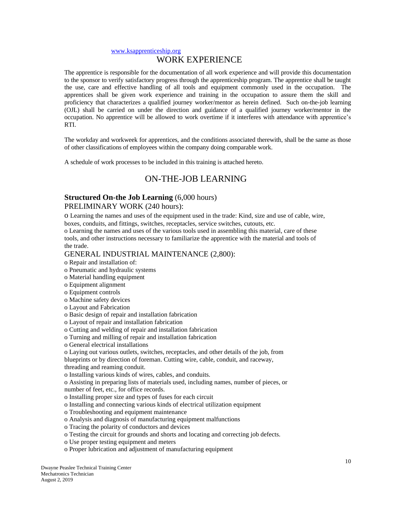#### [www.ksapprenticeship.org](http://www.ksapprenticeship.org/)

#### <span id="page-9-0"></span>WORK EXPERIENCE

The apprentice is responsible for the documentation of all work experience and will provide this documentation to the sponsor to verify satisfactory progress through the apprenticeship program. The apprentice shall be taught the use, care and effective handling of all tools and equipment commonly used in the occupation. The apprentices shall be given work experience and training in the occupation to assure them the skill and proficiency that characterizes a qualified journey worker/mentor as herein defined. Such on-the-job learning (OJL) shall be carried on under the direction and guidance of a qualified journey worker/mentor in the occupation. No apprentice will be allowed to work overtime if it interferes with attendance with apprentice's RTI.

 The workday and workweek for apprentices, and the conditions associated therewith, shall be the same as those of other classifications of employees within the company doing comparable work.

<span id="page-9-1"></span>A schedule of work processes to be included in this training is attached hereto.

#### ON-THE-JOB LEARNING

#### **Structured On-the Job Learning** (6,000 hours)

#### PRELIMINARY WORK (240 hours):

o Learning the names and uses of the equipment used in the trade: Kind, size and use of cable, wire, boxes, conduits, and fittings, switches, receptacles, service switches, cutouts, etc.

o Learning the names and uses of the various tools used in assembling this material, care of these tools, and other instructions necessary to familiarize the apprentice with the material and tools of the trade.

#### GENERAL INDUSTRIAL MAINTENANCE (2,800):

- o Repair and installation of:
- o Pneumatic and hydraulic systems
- o Material handling equipment
- o Equipment alignment
- o Equipment controls
- o Machine safety devices
- o Layout and Fabrication
- o Basic design of repair and installation fabrication
- o Layout of repair and installation fabrication
- o Cutting and welding of repair and installation fabrication
- o Turning and milling of repair and installation fabrication
- o General electrical installations
- o Laying out various outlets, switches, receptacles, and other details of the job, from

blueprints or by direction of foreman. Cutting wire, cable, conduit, and raceway,

threading and reaming conduit.

o Installing various kinds of wires, cables, and conduits.

o Assisting in preparing lists of materials used, including names, number of pieces, or number of feet, etc., for office records.

o Installing proper size and types of fuses for each circuit

- o Installing and connecting various kinds of electrical utilization equipment
- o Troubleshooting and equipment maintenance
- o Analysis and diagnosis of manufacturing equipment malfunctions
- o Tracing the polarity of conductors and devices
- o Testing the circuit for grounds and shorts and locating and correcting job defects.
- o Use proper testing equipment and meters
- o Proper lubrication and adjustment of manufacturing equipment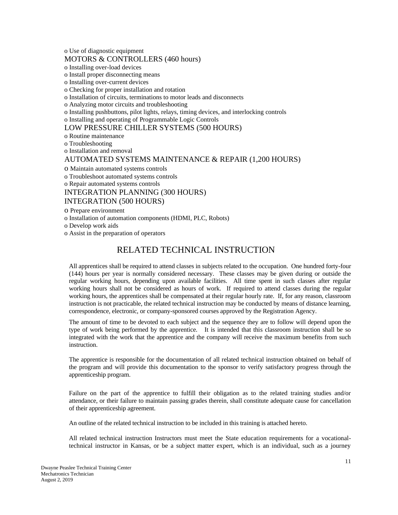o Use of diagnostic equipment

#### MOTORS & CONTROLLERS (460 hours)

o Installing over-load devices

o Install proper disconnecting means

o Installing over-current devices

o Checking for proper installation and rotation

o Installation of circuits, terminations to motor leads and disconnects

o Analyzing motor circuits and troubleshooting

o Installing pushbuttons, pilot lights, relays, timing devices, and interlocking controls

o Installing and operating of Programmable Logic Controls

#### LOW PRESSURE CHILLER SYSTEMS (500 HOURS)

o Routine maintenance

o Troubleshooting

o Installation and removal

#### AUTOMATED SYSTEMS MAINTENANCE & REPAIR (1,200 HOURS)

o Maintain automated systems controls

o Troubleshoot automated systems controls

o Repair automated systems controls

INTEGRATION PLANNING (300 HOURS)

#### INTEGRATION (500 HOURS)

o Prepare environment

o Installation of automation components (HDMI, PLC, Robots)

o Develop work aids

<span id="page-10-0"></span>o Assist in the preparation of operators

# RELATED TECHNICAL INSTRUCTION

All apprentices shall be required to attend classes in subjects related to the occupation. One hundred forty-four (144) hours per year is normally considered necessary. These classes may be given during or outside the regular working hours, depending upon available facilities. All time spent in such classes after regular working hours shall not be considered as hours of work. If required to attend classes during the regular working hours, the apprentices shall be compensated at their regular hourly rate. If, for any reason, classroom instruction is not practicable, the related technical instruction may be conducted by means of distance learning, correspondence, electronic, or company-sponsored courses approved by the Registration Agency.

The amount of time to be devoted to each subject and the sequence they are to follow will depend upon the type of work being performed by the apprentice. It is intended that this classroom instruction shall be so integrated with the work that the apprentice and the company will receive the maximum benefits from such instruction.

The apprentice is responsible for the documentation of all related technical instruction obtained on behalf of the program and will provide this documentation to the sponsor to verify satisfactory progress through the apprenticeship program.

Failure on the part of the apprentice to fulfill their obligation as to the related training studies and/or attendance, or their failure to maintain passing grades therein, shall constitute adequate cause for cancellation of their apprenticeship agreement.

An outline of the related technical instruction to be included in this training is attached hereto.

All related technical instruction Instructors must meet the State education requirements for a vocationaltechnical instructor in Kansas, or be a subject matter expert, which is an individual, such as a journey